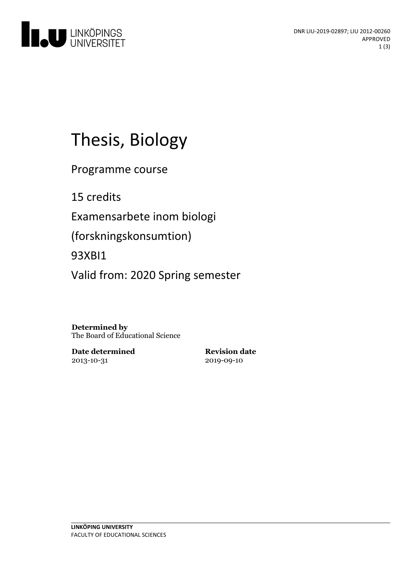

# Thesis, Biology

Programme course

15 credits

Examensarbete inom biologi

(forskningskonsumtion)

93XBI1

Valid from: 2020 Spring semester

**Determined by** The Board of Educational Science

**Date determined** 2013-10-31

**Revision date** 2019-09-10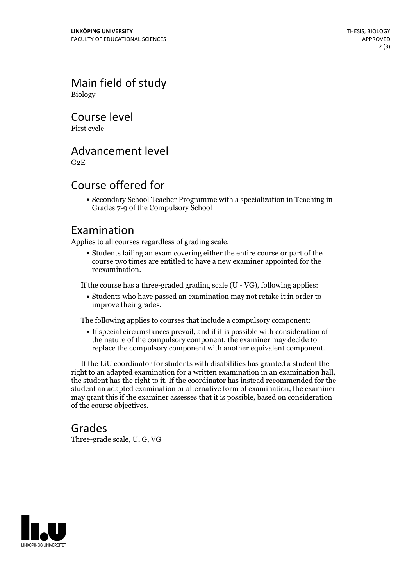Main field of study Biology

Course level

First cycle

### Advancement level

G2E

## Course offered for

Secondary School Teacher Programme with a specialization in Teaching in Grades 7-9 of the Compulsory School

### Examination

Applies to all courses regardless of grading scale.

Students failing an exam covering either the entire course or part of the course two times are entitled to have a new examiner appointed for the reexamination.

If the course has a three-graded grading scale (U - VG), following applies:

Students who have passed an examination may not retake it in order to improve their grades.

The following applies to courses that include a compulsory component:

If special circumstances prevail, and if it is possible with consideration of the nature of the compulsory component, the examiner may decide to replace the compulsory component with another equivalent component.

If the LiU coordinator for students with disabilities has granted a student the right to an adapted examination for <sup>a</sup> written examination in an examination hall, the student has the right to it. If the coordinator has instead recommended for the student an adapted examination or alternative form of examination, the examiner may grant this if the examiner assesses that it is possible, based on consideration of the course objectives.

#### Grades

Three-grade scale, U, G, VG